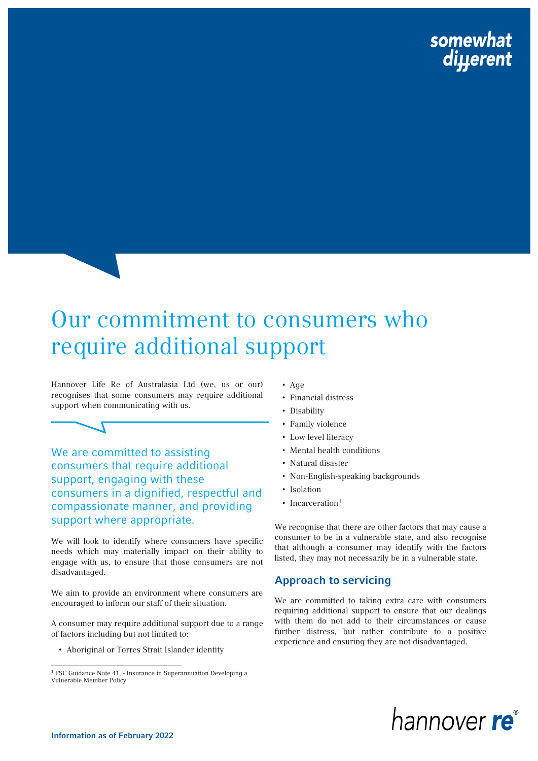## Our commitment to consumers who require additional support

Hannover Life Re of Australasia Ltd (we, us or our) recognises that some consumers may require additional support when communicating with us.

We are committed to assisting consumers that require additional support, engaging with these consumers in a dignified, respectful and compassionate manner, and providing support where appropriate.

We will look to identify where consumers have specific needs which may materially impact on their ability to engage with us, to ensure that those consumers are not disadvantaged.

We aim to provide an environment where consumers are encouraged to inform our staff of their situation.

A consumer may require additional support due to a range of factors including but not limited to:

• Aboriginal or Torres Strait Islander identity

- Age
- Financial distress
- Disability
- Family violence
- Low level literacy
- Mental health conditions
- Natural disaster
- Non-English-speaking backgrounds
- Isolation
- Incarceration<sup>1</sup>

We recognise that there are other factors that may cause a consumer to be in a vulnerable state, and also recognise that although a consumer may identify with the factors listed, they may not necessarily be in a vulnerable state.

## Approach to servicing

We are committed to taking extra care with consumers requiring additional support to ensure that our dealings with them do not add to their circumstances or cause further distress, but rather contribute to a positive experience and ensuring they are not disadvantaged.



 $\overline{a}$ <sup>1</sup> FSC Guidance Note 41, - Insurance in Superannuation Developing a Vulnerable Member Policy